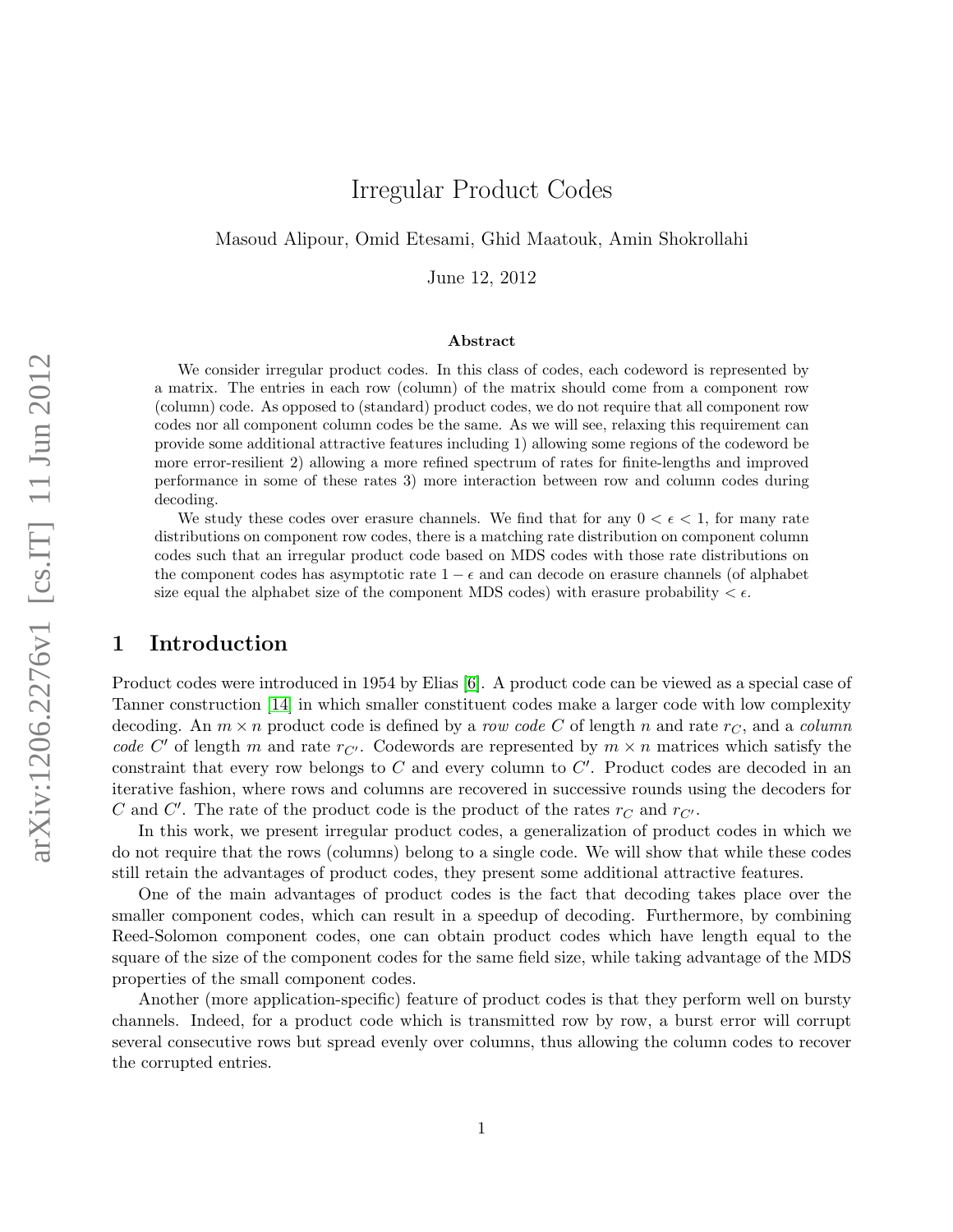Masoud Alipour, Omid Etesami, Ghid Maatouk, Amin Shokrollahi

June 12, 2012

#### Abstract

We consider irregular product codes. In this class of codes, each codeword is represented by a matrix. The entries in each row (column) of the matrix should come from a component row (column) code. As opposed to (standard) product codes, we do not require that all component row codes nor all component column codes be the same. As we will see, relaxing this requirement can provide some additional attractive features including 1) allowing some regions of the codeword be more error-resilient 2) allowing a more refined spectrum of rates for finite-lengths and improved performance in some of these rates 3) more interaction between row and column codes during decoding.

We study these codes over erasure channels. We find that for any  $0 < \epsilon < 1$ , for many rate distributions on component row codes, there is a matching rate distribution on component column codes such that an irregular product code based on MDS codes with those rate distributions on the component codes has asymptotic rate  $1 - \epsilon$  and can decode on erasure channels (of alphabet size equal the alphabet size of the component MDS codes) with erasure probability  $\lt \epsilon$ .

# 1 Introduction

Product codes were introduced in 1954 by Elias [\[6\]](#page-11-0). A product code can be viewed as a special case of Tanner construction [\[14\]](#page-12-0) in which smaller constituent codes make a larger code with low complexity decoding. An  $m \times n$  product code is defined by a row code C of length n and rate  $r_C$ , and a column code C' of length m and rate  $r_{C'}$ . Codewords are represented by  $m \times n$  matrices which satisfy the constraint that every row belongs to  $C$  and every column to  $C'$ . Product codes are decoded in an iterative fashion, where rows and columns are recovered in successive rounds using the decoders for C and C'. The rate of the product code is the product of the rates  $r_C$  and  $r_{C'}$ .

In this work, we present irregular product codes, a generalization of product codes in which we do not require that the rows (columns) belong to a single code. We will show that while these codes still retain the advantages of product codes, they present some additional attractive features.

One of the main advantages of product codes is the fact that decoding takes place over the smaller component codes, which can result in a speedup of decoding. Furthermore, by combining Reed-Solomon component codes, one can obtain product codes which have length equal to the square of the size of the component codes for the same field size, while taking advantage of the MDS properties of the small component codes.

Another (more application-specific) feature of product codes is that they perform well on bursty channels. Indeed, for a product code which is transmitted row by row, a burst error will corrupt several consecutive rows but spread evenly over columns, thus allowing the column codes to recover the corrupted entries.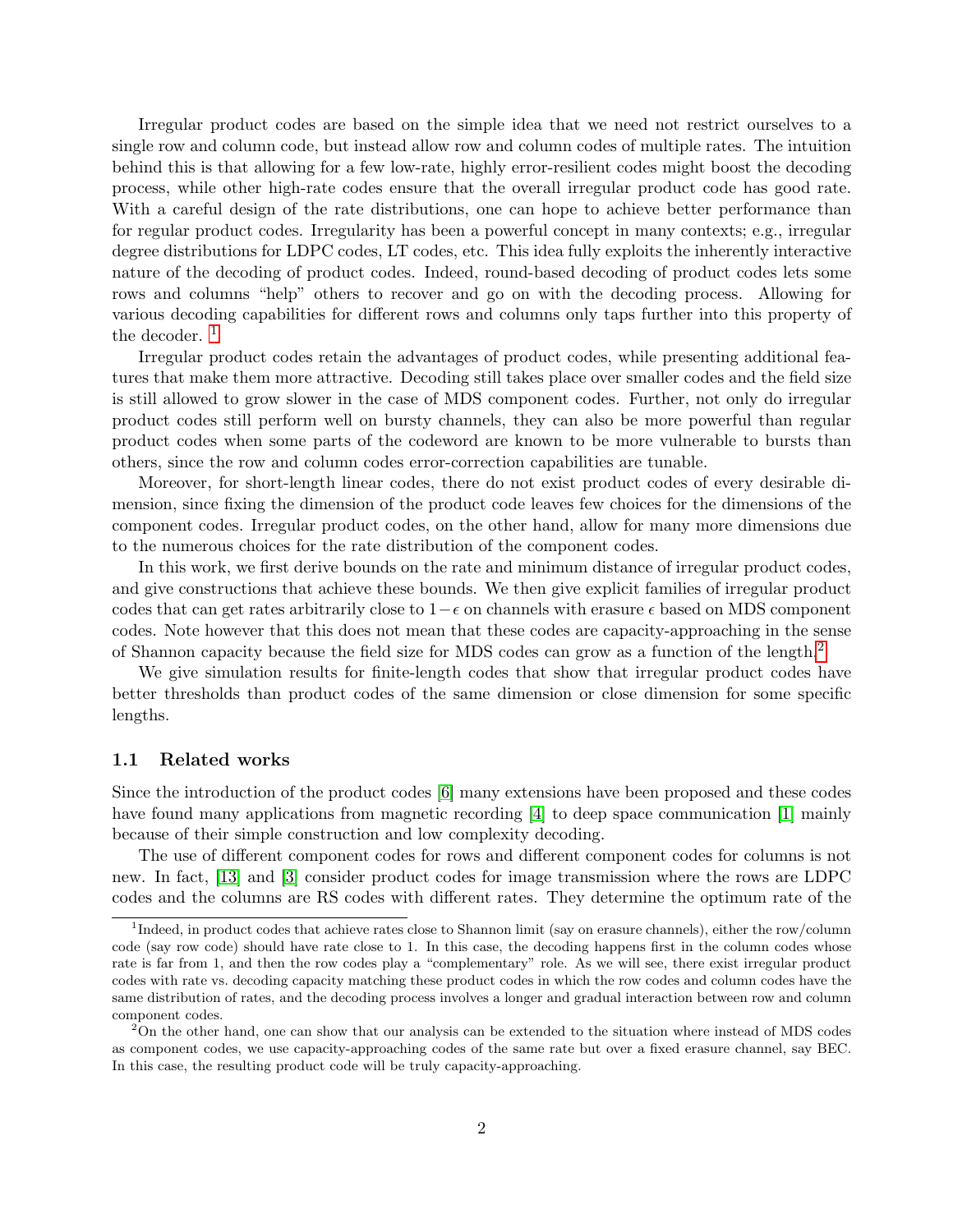Irregular product codes are based on the simple idea that we need not restrict ourselves to a single row and column code, but instead allow row and column codes of multiple rates. The intuition behind this is that allowing for a few low-rate, highly error-resilient codes might boost the decoding process, while other high-rate codes ensure that the overall irregular product code has good rate. With a careful design of the rate distributions, one can hope to achieve better performance than for regular product codes. Irregularity has been a powerful concept in many contexts; e.g., irregular degree distributions for LDPC codes, LT codes, etc. This idea fully exploits the inherently interactive nature of the decoding of product codes. Indeed, round-based decoding of product codes lets some rows and columns "help" others to recover and go on with the decoding process. Allowing for various decoding capabilities for different rows and columns only taps further into this property of the decoder.  $<sup>1</sup>$  $<sup>1</sup>$  $<sup>1</sup>$ </sup>

Irregular product codes retain the advantages of product codes, while presenting additional features that make them more attractive. Decoding still takes place over smaller codes and the field size is still allowed to grow slower in the case of MDS component codes. Further, not only do irregular product codes still perform well on bursty channels, they can also be more powerful than regular product codes when some parts of the codeword are known to be more vulnerable to bursts than others, since the row and column codes error-correction capabilities are tunable.

Moreover, for short-length linear codes, there do not exist product codes of every desirable dimension, since fixing the dimension of the product code leaves few choices for the dimensions of the component codes. Irregular product codes, on the other hand, allow for many more dimensions due to the numerous choices for the rate distribution of the component codes.

In this work, we first derive bounds on the rate and minimum distance of irregular product codes, and give constructions that achieve these bounds. We then give explicit families of irregular product codes that can get rates arbitrarily close to  $1-\epsilon$  on channels with erasure  $\epsilon$  based on MDS component codes. Note however that this does not mean that these codes are capacity-approaching in the sense of Shannon capacity because the field size for MDS codes can grow as a function of the length.[2](#page-1-1)

We give simulation results for finite-length codes that show that irregular product codes have better thresholds than product codes of the same dimension or close dimension for some specific lengths.

#### 1.1 Related works

Since the introduction of the product codes [\[6\]](#page-11-0) many extensions have been proposed and these codes have found many applications from magnetic recording [\[4\]](#page-11-1) to deep space communication [\[1\]](#page-11-2) mainly because of their simple construction and low complexity decoding.

The use of different component codes for rows and different component codes for columns is not new. In fact, [\[13\]](#page-12-1) and [\[3\]](#page-11-3) consider product codes for image transmission where the rows are LDPC codes and the columns are RS codes with different rates. They determine the optimum rate of the

<span id="page-1-0"></span><sup>&</sup>lt;sup>1</sup>Indeed, in product codes that achieve rates close to Shannon limit (say on erasure channels), either the row/column code (say row code) should have rate close to 1. In this case, the decoding happens first in the column codes whose rate is far from 1, and then the row codes play a "complementary" role. As we will see, there exist irregular product codes with rate vs. decoding capacity matching these product codes in which the row codes and column codes have the same distribution of rates, and the decoding process involves a longer and gradual interaction between row and column component codes.

<span id="page-1-1"></span><sup>&</sup>lt;sup>2</sup>On the other hand, one can show that our analysis can be extended to the situation where instead of MDS codes as component codes, we use capacity-approaching codes of the same rate but over a fixed erasure channel, say BEC. In this case, the resulting product code will be truly capacity-approaching.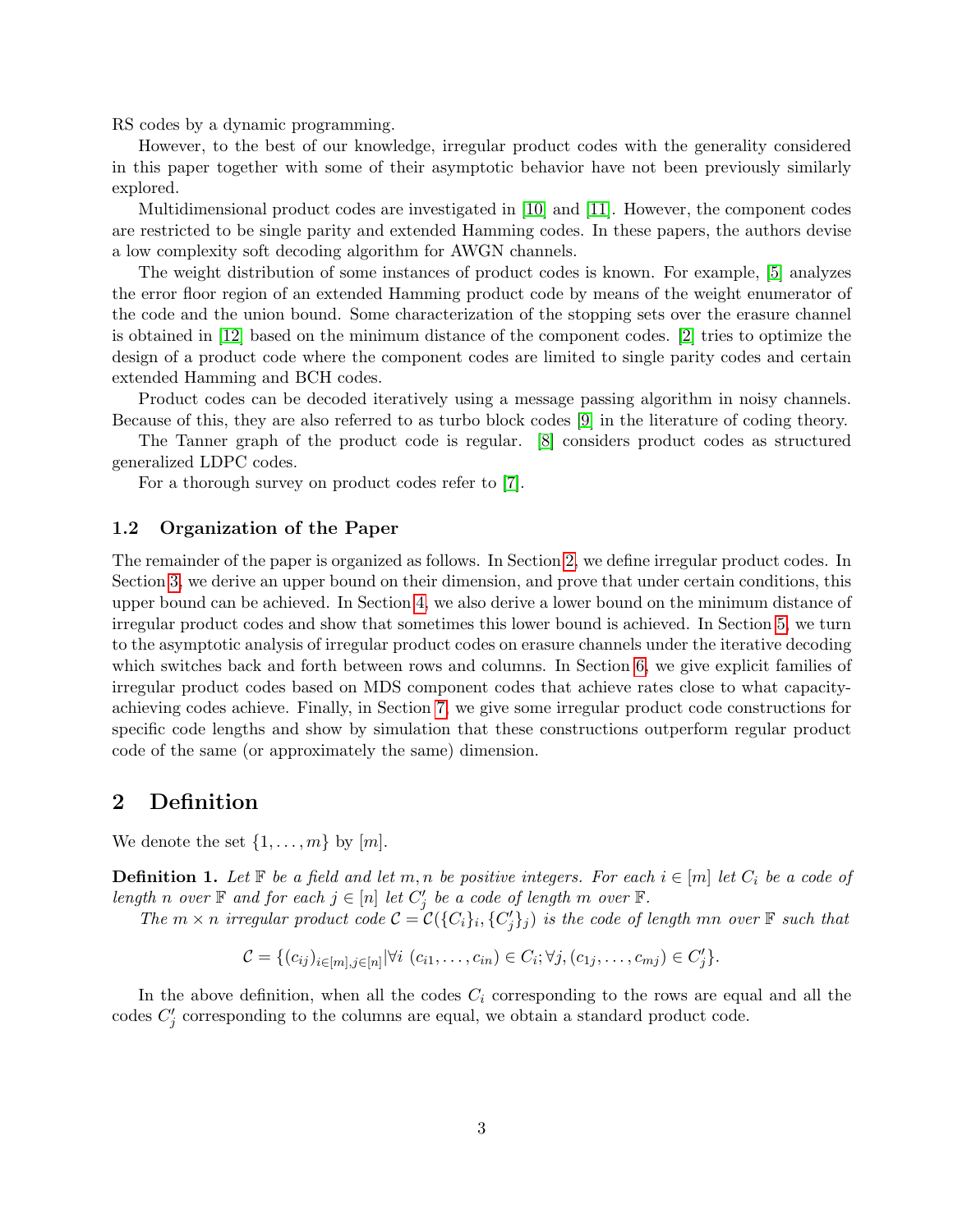RS codes by a dynamic programming.

However, to the best of our knowledge, irregular product codes with the generality considered in this paper together with some of their asymptotic behavior have not been previously similarly explored.

Multidimensional product codes are investigated in [\[10\]](#page-12-2) and [\[11\]](#page-12-3). However, the component codes are restricted to be single parity and extended Hamming codes. In these papers, the authors devise a low complexity soft decoding algorithm for AWGN channels.

The weight distribution of some instances of product codes is known. For example, [\[5\]](#page-11-4) analyzes the error floor region of an extended Hamming product code by means of the weight enumerator of the code and the union bound. Some characterization of the stopping sets over the erasure channel is obtained in [\[12\]](#page-12-4) based on the minimum distance of the component codes. [\[2\]](#page-11-5) tries to optimize the design of a product code where the component codes are limited to single parity codes and certain extended Hamming and BCH codes.

Product codes can be decoded iteratively using a message passing algorithm in noisy channels. Because of this, they are also referred to as turbo block codes [\[9\]](#page-12-5) in the literature of coding theory.

The Tanner graph of the product code is regular. [\[8\]](#page-11-6) considers product codes as structured generalized LDPC codes.

For a thorough survey on product codes refer to [\[7\]](#page-11-7).

#### 1.2 Organization of the Paper

The remainder of the paper is organized as follows. In Section [2,](#page-2-0) we define irregular product codes. In Section [3,](#page-3-0) we derive an upper bound on their dimension, and prove that under certain conditions, this upper bound can be achieved. In Section [4,](#page-5-0) we also derive a lower bound on the minimum distance of irregular product codes and show that sometimes this lower bound is achieved. In Section [5,](#page-6-0) we turn to the asymptotic analysis of irregular product codes on erasure channels under the iterative decoding which switches back and forth between rows and columns. In Section [6,](#page-7-0) we give explicit families of irregular product codes based on MDS component codes that achieve rates close to what capacityachieving codes achieve. Finally, in Section [7,](#page-9-0) we give some irregular product code constructions for specific code lengths and show by simulation that these constructions outperform regular product code of the same (or approximately the same) dimension.

# <span id="page-2-0"></span>2 Definition

We denote the set  $\{1, \ldots, m\}$  by  $[m]$ .

**Definition 1.** Let  $\mathbb F$  be a field and let m, n be positive integers. For each  $i \in [m]$  let  $C_i$  be a code of length n over  $\mathbb F$  and for each  $j \in [n]$  let  $C'_j$  be a code of length m over  $\mathbb F$ .

The  $m \times n$  irregular product code  $C = C(\{C_i\}_i, \{C'_j\}_j)$  is the code of length mn over  $\mathbb F$  such that

$$
C = \{ (c_{ij})_{i \in [m], j \in [n]} | \forall i \ (c_{i1}, \ldots, c_{in}) \in C_i; \forall j, (c_{1j}, \ldots, c_{mj}) \in C'_j \}.
$$

In the above definition, when all the codes  $C_i$  corresponding to the rows are equal and all the codes  $C'_{j}$  corresponding to the columns are equal, we obtain a standard product code.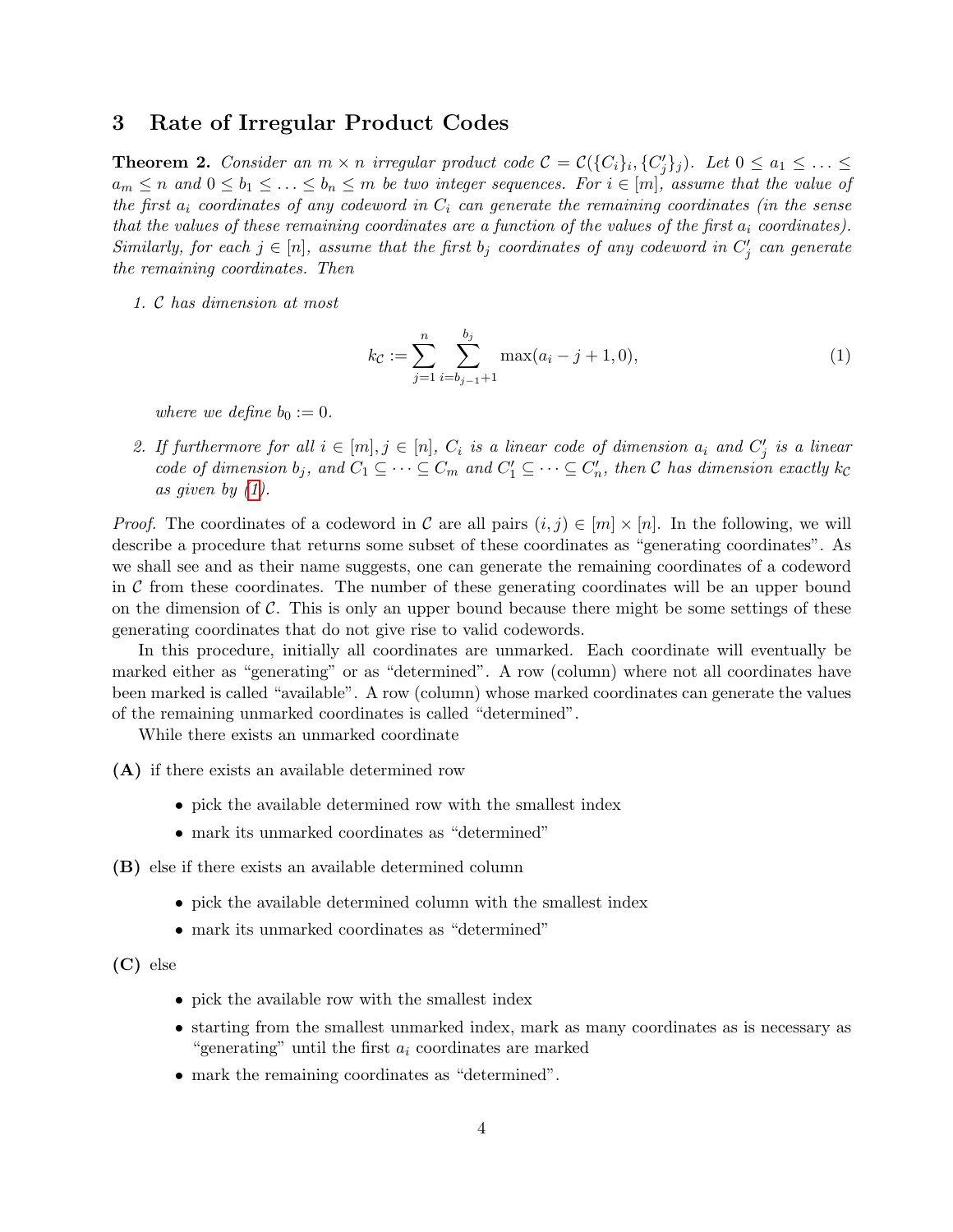## <span id="page-3-0"></span>3 Rate of Irregular Product Codes

<span id="page-3-2"></span>**Theorem 2.** Consider an  $m \times n$  irregular product code  $C = C(\lbrace C_i \rbrace_i, \lbrace C'_j \rbrace_j)$ . Let  $0 \le a_1 \le ... \le a_n$  $a_m \leq n$  and  $0 \leq b_1 \leq \ldots \leq b_n \leq m$  be two integer sequences. For  $i \in [m]$ , assume that the value of the first  $a_i$  coordinates of any codeword in  $C_i$  can generate the remaining coordinates (in the sense that the values of these remaining coordinates are a function of the values of the first  $a_i$  coordinates). Similarly, for each  $j \in [n]$ , assume that the first  $b_j$  coordinates of any codeword in  $C'_j$  can generate the remaining coordinates. Then

1. C has dimension at most

<span id="page-3-1"></span>
$$
k_{\mathcal{C}} := \sum_{j=1}^{n} \sum_{i=b_{j-1}+1}^{b_j} \max(a_i - j + 1, 0),\tag{1}
$$

where we define  $b_0 := 0$ .

2. If furthermore for all  $i \in [m], j \in [n]$ ,  $C_i$  is a linear code of dimension  $a_i$  and  $C'_j$  is a linear code of dimension  $b_j$ , and  $C_1 \subseteq \cdots \subseteq C_m$  and  $C'_1 \subseteq \cdots \subseteq C'_n$ , then C has dimension exactly  $k_C$ as given by  $(1)$ .

*Proof.* The coordinates of a codeword in C are all pairs  $(i, j) \in [m] \times [n]$ . In the following, we will describe a procedure that returns some subset of these coordinates as "generating coordinates". As we shall see and as their name suggests, one can generate the remaining coordinates of a codeword in  $\mathcal C$  from these coordinates. The number of these generating coordinates will be an upper bound on the dimension of  $\mathcal{C}$ . This is only an upper bound because there might be some settings of these generating coordinates that do not give rise to valid codewords.

In this procedure, initially all coordinates are unmarked. Each coordinate will eventually be marked either as "generating" or as "determined". A row (column) where not all coordinates have been marked is called "available". A row (column) whose marked coordinates can generate the values of the remaining unmarked coordinates is called "determined".

While there exists an unmarked coordinate

- (A) if there exists an available determined row
	- pick the available determined row with the smallest index
	- mark its unmarked coordinates as "determined"
- (B) else if there exists an available determined column
	- pick the available determined column with the smallest index
	- mark its unmarked coordinates as "determined"

(C) else

- pick the available row with the smallest index
- starting from the smallest unmarked index, mark as many coordinates as is necessary as "generating" until the first  $a_i$  coordinates are marked
- mark the remaining coordinates as "determined".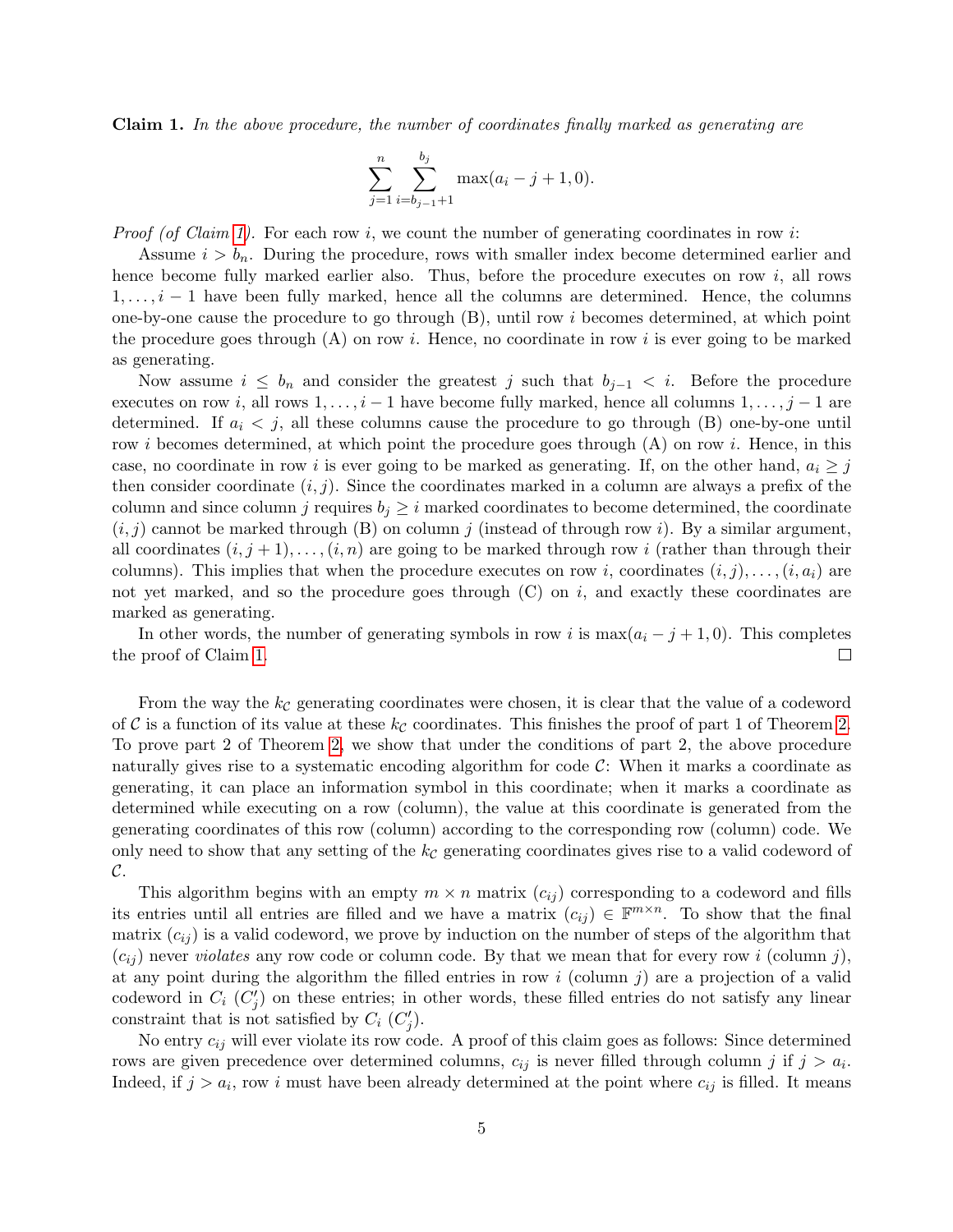<span id="page-4-0"></span>Claim 1. In the above procedure, the number of coordinates finally marked as generating are

$$
\sum_{j=1}^{n} \sum_{i=b_{j-1}+1}^{b_j} \max(a_i - j + 1, 0).
$$

*Proof (of Claim [1\)](#page-4-0).* For each row i, we count the number of generating coordinates in row i:

Assume  $i > b_n$ . During the procedure, rows with smaller index become determined earlier and hence become fully marked earlier also. Thus, before the procedure executes on row  $i$ , all rows  $1, \ldots, i-1$  have been fully marked, hence all the columns are determined. Hence, the columns one-by-one cause the procedure to go through  $(B)$ , until row i becomes determined, at which point the procedure goes through  $(A)$  on row i. Hence, no coordinate in row i is ever going to be marked as generating.

Now assume  $i \leq b_n$  and consider the greatest j such that  $b_{j-1} < i$ . Before the procedure executes on row i, all rows  $1, \ldots, i-1$  have become fully marked, hence all columns  $1, \ldots, j-1$  are determined. If  $a_i \leq j$ , all these columns cause the procedure to go through (B) one-by-one until row i becomes determined, at which point the procedure goes through  $(A)$  on row i. Hence, in this case, no coordinate in row i is ever going to be marked as generating. If, on the other hand,  $a_i \geq j$ then consider coordinate  $(i, j)$ . Since the coordinates marked in a column are always a prefix of the column and since column j requires  $b_j \geq i$  marked coordinates to become determined, the coordinate  $(i, j)$  cannot be marked through (B) on column j (instead of through row i). By a similar argument, all coordinates  $(i, j + 1), \ldots, (i, n)$  are going to be marked through row i (rather than through their columns). This implies that when the procedure executes on row i, coordinates  $(i, j), \ldots, (i, a_i)$  are not yet marked, and so the procedure goes through  $(C)$  on i, and exactly these coordinates are marked as generating.

In other words, the number of generating symbols in row *i* is max $(a_i - j + 1, 0)$ . This completes proof of Claim 1. the proof of Claim [1.](#page-4-0)

From the way the  $k_c$  generating coordinates were chosen, it is clear that the value of a codeword of C is a function of its value at these  $k<sub>C</sub>$  coordinates. This finishes the proof of part 1 of Theorem [2.](#page-3-2) To prove part 2 of Theorem [2,](#page-3-2) we show that under the conditions of part 2, the above procedure naturally gives rise to a systematic encoding algorithm for code  $\mathcal{C}$ : When it marks a coordinate as generating, it can place an information symbol in this coordinate; when it marks a coordinate as determined while executing on a row (column), the value at this coordinate is generated from the generating coordinates of this row (column) according to the corresponding row (column) code. We only need to show that any setting of the  $k<sub>C</sub>$  generating coordinates gives rise to a valid codeword of  $\mathcal{C}.$ 

This algorithm begins with an empty  $m \times n$  matrix  $(c_{ij})$  corresponding to a codeword and fills its entries until all entries are filled and we have a matrix  $(c_{ij}) \in \mathbb{F}^{m \times n}$ . To show that the final matrix  $(c_{ij})$  is a valid codeword, we prove by induction on the number of steps of the algorithm that  $(c_{ij})$  never *violates* any row code or column code. By that we mean that for every row i (column j), at any point during the algorithm the filled entries in row  $i$  (column  $j$ ) are a projection of a valid codeword in  $C_i$   $(C'_j)$  on these entries; in other words, these filled entries do not satisfy any linear constraint that is not satisfied by  $C_i$   $(C'_j)$ .

No entry  $c_{ij}$  will ever violate its row code. A proof of this claim goes as follows: Since determined rows are given precedence over determined columns,  $c_{ij}$  is never filled through column j if  $j > a_i$ . Indeed, if  $j > a_i$ , row i must have been already determined at the point where  $c_{ij}$  is filled. It means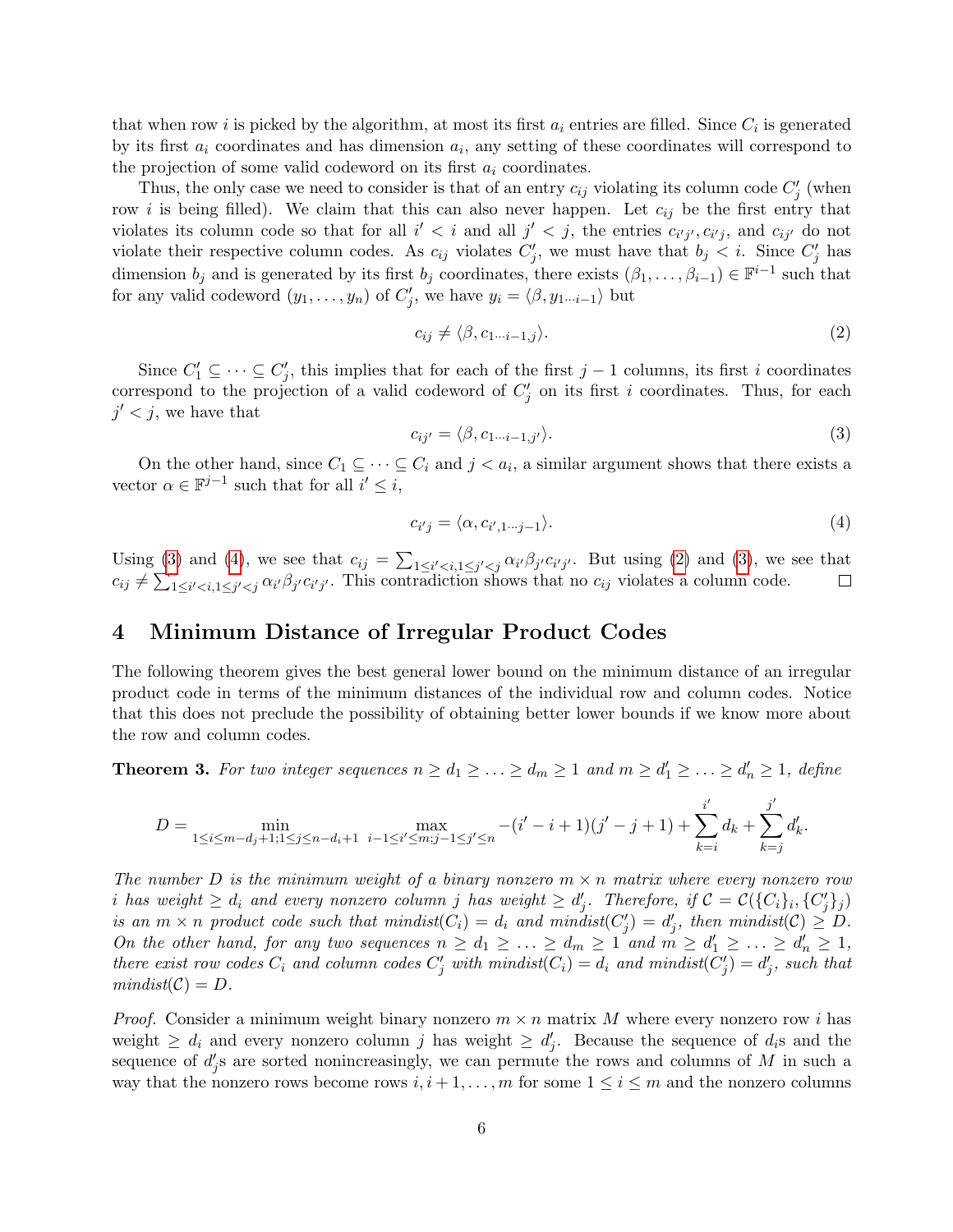that when row *i* is picked by the algorithm, at most its first  $a_i$  entries are filled. Since  $C_i$  is generated by its first  $a_i$  coordinates and has dimension  $a_i$ , any setting of these coordinates will correspond to the projection of some valid codeword on its first  $a_i$  coordinates.

Thus, the only case we need to consider is that of an entry  $c_{ij}$  violating its column code  $C'_{j}$  (when row *i* is being filled). We claim that this can also never happen. Let  $c_{ij}$  be the first entry that violates its column code so that for all  $i' < i$  and all  $j' < j$ , the entries  $c_{i'j'}$ ,  $c_{i'j}$ , and  $c_{ij'}$  do not violate their respective column codes. As  $c_{ij}$  violates  $C'_j$ , we must have that  $b_j < i$ . Since  $C'_j$  has dimension  $b_j$  and is generated by its first  $b_j$  coordinates, there exists  $(\beta_1, \ldots, \beta_{i-1}) \in \mathbb{F}^{i-1}$  such that for any valid codeword  $(y_1, \ldots, y_n)$  of  $C'_j$ , we have  $y_i = \langle \beta, y_{1 \cdots i-1} \rangle$  but

<span id="page-5-3"></span>
$$
c_{ij} \neq \langle \beta, c_{1 \cdots i-1,j} \rangle. \tag{2}
$$

Since  $C'_1 \subseteq \cdots \subseteq C'_j$ , this implies that for each of the first  $j-1$  columns, its first i coordinates correspond to the projection of a valid codeword of  $C_j'$  on its first i coordinates. Thus, for each  $j' < j$ , we have that

<span id="page-5-1"></span>
$$
c_{ij'} = \langle \beta, c_{1 \cdots i-1, j'} \rangle.
$$
 (3)

On the other hand, since  $C_1 \subseteq \cdots \subseteq C_i$  and  $j < a_i$ , a similar argument shows that there exists a vector  $\alpha \in \mathbb{F}^{j-1}$  such that for all  $i' \leq i$ ,

<span id="page-5-2"></span>
$$
c_{i'j} = \langle \alpha, c_{i',1\cdots j-1} \rangle.
$$
 (4)

Using [\(3\)](#page-5-1) and [\(4\)](#page-5-2), we see that  $c_{ij} = \sum_{1 \leq i' < i, 1 \leq j' < j} \alpha_{i'} \beta_{j'} c_{i'j'}$ . But using [\(2\)](#page-5-3) and (3), we see that  $c_{ij} \neq \sum_{1 \leq i' < i, 1 \leq j' < j} \alpha_{i'} \beta_{j'} c_{i'j'}$ . This contradiction shows that no  $c_{ij}$  violates a column code.

# <span id="page-5-0"></span>4 Minimum Distance of Irregular Product Codes

The following theorem gives the best general lower bound on the minimum distance of an irregular product code in terms of the minimum distances of the individual row and column codes. Notice that this does not preclude the possibility of obtaining better lower bounds if we know more about the row and column codes.

**Theorem 3.** For two integer sequences  $n \geq d_1 \geq \ldots \geq d_m \geq 1$  and  $m \geq d'_1 \geq \ldots \geq d'_n \geq 1$ , define

$$
D = \min_{1 \le i \le m-d_j+1; 1 \le j \le n-d_i+1} \max_{i-1 \le i' \le m; j-1 \le j' \le n} -(i'-i+1)(j'-j+1) + \sum_{k=i}^{i'} d_k + \sum_{k=j}^{j'} d'_k.
$$

The number D is the minimum weight of a binary nonzero  $m \times n$  matrix where every nonzero row i has weight  $\geq d_i$  and every nonzero column j has weight  $\geq d'_j$ . Therefore, if  $\mathcal{C} = \mathcal{C}(\{C_i\}_i, \{C'_j\}_j)$ is an  $m \times n$  product code such that mindist $(C_i) = d_i$  and mindist $(C'_j) = d'_j$ , then mindist $(C) \geq D$ . On the other hand, for any two sequences  $n \geq d_1 \geq \ldots \geq d_m \geq 1$  and  $m \geq d'_1 \geq \ldots \geq d'_n \geq 1$ , there exist row codes  $C_i$  and column codes  $C'_j$  with mindist $(C_i) = d_i$  and mindist $(C'_j) = d'_j$ , such that  $mindist(\mathcal{C}) = D.$ 

*Proof.* Consider a minimum weight binary nonzero  $m \times n$  matrix M where every nonzero row i has weight  $\geq d_i$  and every nonzero column j has weight  $\geq d'_j$ . Because the sequence of  $d_i$ s and the sequence of  $d'_{j}$ s are sorted nonincreasingly, we can permute the rows and columns of M in such a way that the nonzero rows become rows  $i, i + 1, \ldots, m$  for some  $1 \leq i \leq m$  and the nonzero columns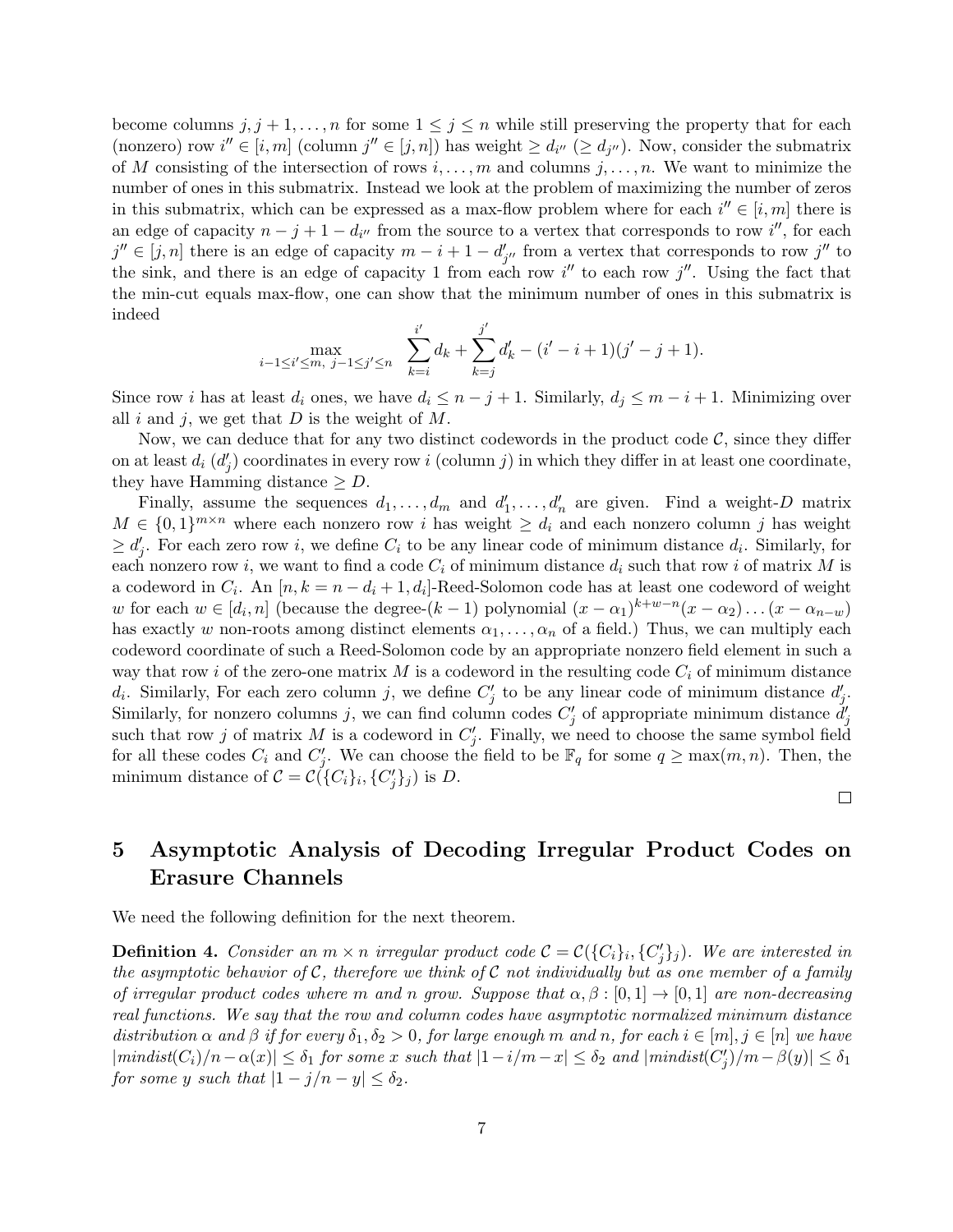become columns  $j, j + 1, \ldots, n$  for some  $1 \leq j \leq n$  while still preserving the property that for each (nonzero) row  $i'' \in [i, m]$  (column  $j'' \in [j, n]$ ) has weight  $\ge d_{i''} \ge d_{j''}$ ). Now, consider the submatrix of M consisting of the intersection of rows  $i, \ldots, m$  and columns  $j, \ldots, n$ . We want to minimize the number of ones in this submatrix. Instead we look at the problem of maximizing the number of zeros in this submatrix, which can be expressed as a max-flow problem where for each  $i'' \in [i, m]$  there is an edge of capacity  $n - j + 1 - d_{i''}$  from the source to a vertex that corresponds to row i'', for each  $j'' \in [j,n]$  there is an edge of capacity  $m - i + 1 - d'_{j''}$  from a vertex that corresponds to row  $j''$  to the sink, and there is an edge of capacity 1 from each row  $i''$  to each row  $j''$ . Using the fact that the min-cut equals max-flow, one can show that the minimum number of ones in this submatrix is indeed

$$
\max_{i-1 \le i' \le m, \ j-1 \le j' \le n} \quad \sum_{k=i}^{i'} d_k + \sum_{k=j}^{j'} d'_k - (i'-i+1)(j'-j+1).
$$

Since row *i* has at least  $d_i$  ones, we have  $d_i \leq n - j + 1$ . Similarly,  $d_j \leq m - i + 1$ . Minimizing over all i and j, we get that  $D$  is the weight of  $M$ .

Now, we can deduce that for any two distinct codewords in the product code  $\mathcal{C}$ , since they differ on at least  $d_i(d'_j)$  coordinates in every row i (column j) in which they differ in at least one coordinate, they have Hamming distance  $\geq D$ .

Finally, assume the sequences  $d_1, \ldots, d_m$  and  $d'_1, \ldots, d'_n$  are given. Find a weight-D matrix  $M \in \{0,1\}^{m \times n}$  where each nonzero row i has weight  $\geq d_i$  and each nonzero column j has weight  $\geq d'_j$ . For each zero row i, we define  $C_i$  to be any linear code of minimum distance  $d_i$ . Similarly, for each nonzero row i, we want to find a code  $C_i$  of minimum distance  $d_i$  such that row i of matrix M is a codeword in  $C_i$ . An  $[n, k = n - d_i + 1, d_i]$ -Reed-Solomon code has at least one codeword of weight w for each  $w \in [d_i, n]$  (because the degree- $(k-1)$  polynomial  $(x - \alpha_1)^{k+w-n}(x - \alpha_2) \dots (x - \alpha_{n-w})$ has exactly w non-roots among distinct elements  $\alpha_1, \ldots, \alpha_n$  of a field.) Thus, we can multiply each codeword coordinate of such a Reed-Solomon code by an appropriate nonzero field element in such a way that row i of the zero-one matrix M is a codeword in the resulting code  $C_i$  of minimum distance  $d_i$ . Similarly, For each zero column j, we define  $C'_j$  to be any linear code of minimum distance  $d'_j$ . Similarly, for nonzero columns j, we can find column codes  $C'_{j}$  of appropriate minimum distance  $d'_{j}$ such that row j of matrix M is a codeword in  $C'_j$ . Finally, we need to choose the same symbol field for all these codes  $C_i$  and  $C'_j$ . We can choose the field to be  $\mathbb{F}_q$  for some  $q \ge \max(m, n)$ . Then, the minimum distance of  $C = \mathcal{C}(\{C_i\}_i, \{C'_j\}_j)$  is D.

 $\Box$ 

# <span id="page-6-0"></span>5 Asymptotic Analysis of Decoding Irregular Product Codes on Erasure Channels

We need the following definition for the next theorem.

<span id="page-6-1"></span>**Definition 4.** Consider an  $m \times n$  irregular product code  $C = C(\lbrace C_i \rbrace_i, \lbrace C'_j \rbrace_j)$ . We are interested in the asymptotic behavior of C, therefore we think of C not individually but as one member of a family of irregular product codes where m and n grow. Suppose that  $\alpha, \beta : [0, 1] \rightarrow [0, 1]$  are non-decreasing real functions. We say that the row and column codes have asymptotic normalized minimum distance distribution  $\alpha$  and  $\beta$  if for every  $\delta_1, \delta_2 > 0$ , for large enough m and n, for each  $i \in [m], j \in [n]$  we have  $|mindist(C_i)/n - \alpha(x)| \leq \delta_1$  for some x such that  $|1 - i/m - x| \leq \delta_2$  and  $|mindist(C'_j)/m - \beta(y)| \leq \delta_1$ for some y such that  $|1 - j/n - y| \leq \delta_2$ .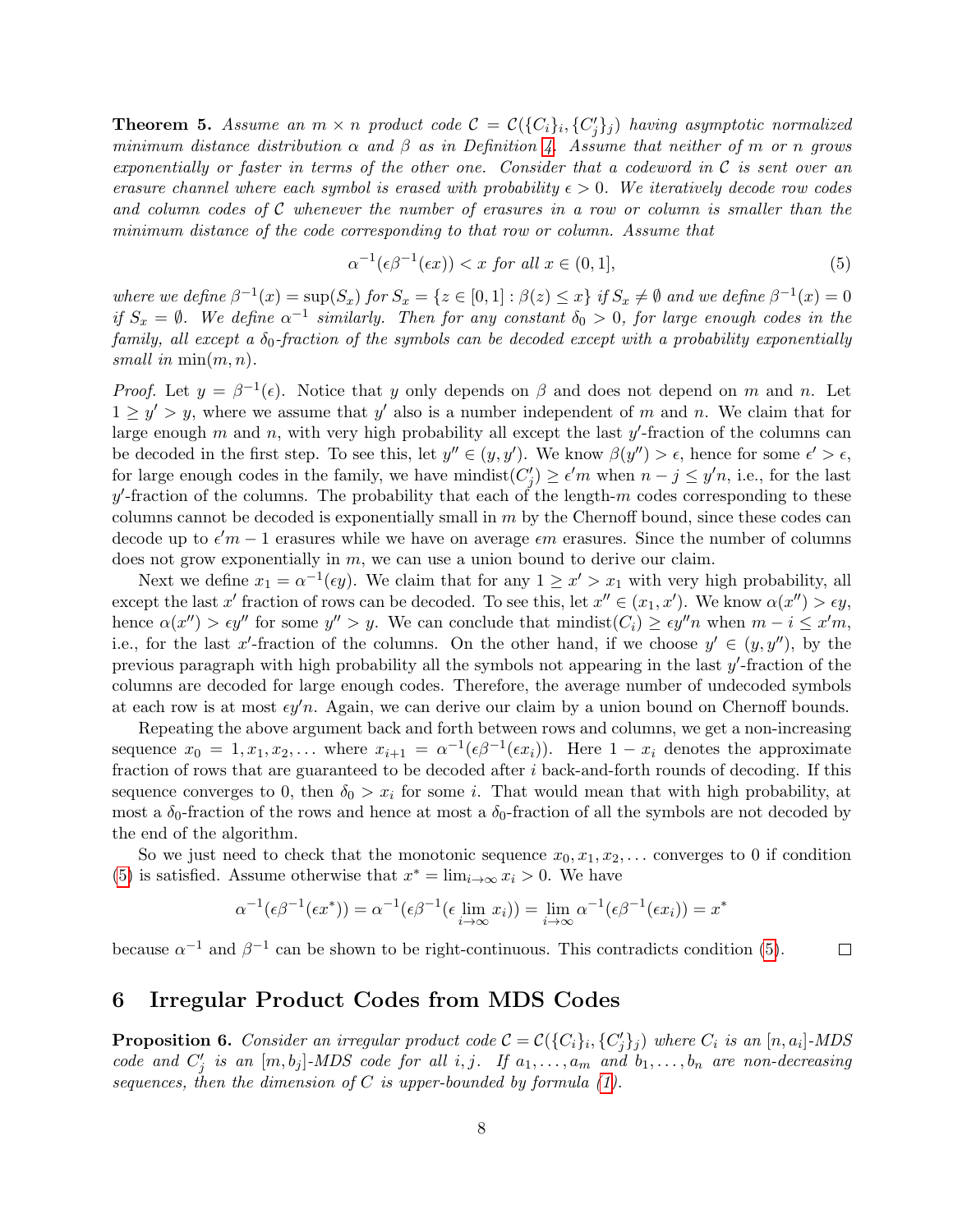<span id="page-7-2"></span>**Theorem 5.** Assume an  $m \times n$  product code  $C = C(\{C_i\}_i, \{C'_j\}_j)$  having asymptotic normalized minimum distance distribution  $\alpha$  and  $\beta$  as in Definition [4.](#page-6-1) Assume that neither of m or n grows exponentially or faster in terms of the other one. Consider that a codeword in  $\mathcal C$  is sent over an erasure channel where each symbol is erased with probability  $\epsilon > 0$ . We iteratively decode row codes and column codes of  $C$  whenever the number of erasures in a row or column is smaller than the minimum distance of the code corresponding to that row or column. Assume that

<span id="page-7-1"></span>
$$
\alpha^{-1}(\epsilon \beta^{-1}(\epsilon x)) < x \text{ for all } x \in (0, 1], \tag{5}
$$

where we define  $\beta^{-1}(x) = \sup(S_x)$  for  $S_x = \{z \in [0,1] : \beta(z) \le x\}$  if  $S_x \ne \emptyset$  and we define  $\beta^{-1}(x) = 0$ if  $S_x = \emptyset$ . We define  $\alpha^{-1}$  similarly. Then for any constant  $\delta_0 > 0$ , for large enough codes in the family, all except a  $\delta_0$ -fraction of the symbols can be decoded except with a probability exponentially small in  $\min(m, n)$ .

*Proof.* Let  $y = \beta^{-1}(\epsilon)$ . Notice that y only depends on  $\beta$  and does not depend on m and n. Let  $1 \geq y' > y$ , where we assume that y' also is a number independent of m and n. We claim that for large enough  $m$  and  $n$ , with very high probability all except the last  $y'$ -fraction of the columns can be decoded in the first step. To see this, let  $y'' \in (y, y')$ . We know  $\beta(y'') > \epsilon$ , hence for some  $\epsilon' > \epsilon$ , for large enough codes in the family, we have mindist $(C_j') \ge \epsilon' m$  when  $n - j \le y' n$ , i.e., for the last y'-fraction of the columns. The probability that each of the length- $m$  codes corresponding to these columns cannot be decoded is exponentially small in  $m$  by the Chernoff bound, since these codes can decode up to  $\epsilon' m - 1$  erasures while we have on average  $\epsilon m$  erasures. Since the number of columns does not grow exponentially in  $m$ , we can use a union bound to derive our claim.

Next we define  $x_1 = \alpha^{-1}(\epsilon y)$ . We claim that for any  $1 \geq x' > x_1$  with very high probability, all except the last x' fraction of rows can be decoded. To see this, let  $x'' \in (x_1, x')$ . We know  $\alpha(x'') > \epsilon y$ , hence  $\alpha(x'') > \epsilon y''$  for some  $y'' > y$ . We can conclude that mindist $(C_i) \geq \epsilon y'' n$  when  $m - i \leq x'm$ , i.e., for the last x'-fraction of the columns. On the other hand, if we choose  $y' \in (y, y'')$ , by the previous paragraph with high probability all the symbols not appearing in the last  $y'$ -fraction of the columns are decoded for large enough codes. Therefore, the average number of undecoded symbols at each row is at most  $\epsilon y'n$ . Again, we can derive our claim by a union bound on Chernoff bounds.

Repeating the above argument back and forth between rows and columns, we get a non-increasing sequence  $x_0 = 1, x_1, x_2, \ldots$  where  $x_{i+1} = \alpha^{-1}(\epsilon \beta^{-1}(\epsilon x_i))$ . Here  $1 - x_i$  denotes the approximate fraction of rows that are guaranteed to be decoded after i back-and-forth rounds of decoding. If this sequence converges to 0, then  $\delta_0 > x_i$  for some i. That would mean that with high probability, at most a  $\delta_0$ -fraction of the rows and hence at most a  $\delta_0$ -fraction of all the symbols are not decoded by the end of the algorithm.

So we just need to check that the monotonic sequence  $x_0, x_1, x_2, \ldots$  converges to 0 if condition [\(5\)](#page-7-1) is satisfied. Assume otherwise that  $x^* = \lim_{i \to \infty} x_i > 0$ . We have

$$
\alpha^{-1}(\epsilon \beta^{-1}(\epsilon x^*)) = \alpha^{-1}(\epsilon \beta^{-1}(\epsilon \lim_{i \to \infty} x_i)) = \lim_{i \to \infty} \alpha^{-1}(\epsilon \beta^{-1}(\epsilon x_i)) = x^*
$$

because  $\alpha^{-1}$  and  $\beta^{-1}$  can be shown to be right-continuous. This contradicts condition [\(5\)](#page-7-1).  $\Box$ 

## <span id="page-7-0"></span>6 Irregular Product Codes from MDS Codes

<span id="page-7-3"></span>**Proposition 6.** Consider an irregular product code  $C = C(\{C_i\}_i, \{C'_j\}_j)$  where  $C_i$  is an  $[n, a_i]$ -MDS code and  $C'_j$  is an  $[m, b_j]$ -MDS code for all i, j. If  $a_1, \ldots, a_m$  and  $b_1, \ldots, b_n$  are non-decreasing sequences, then the dimension of  $C$  is upper-bounded by formula [\(1\)](#page-3-1).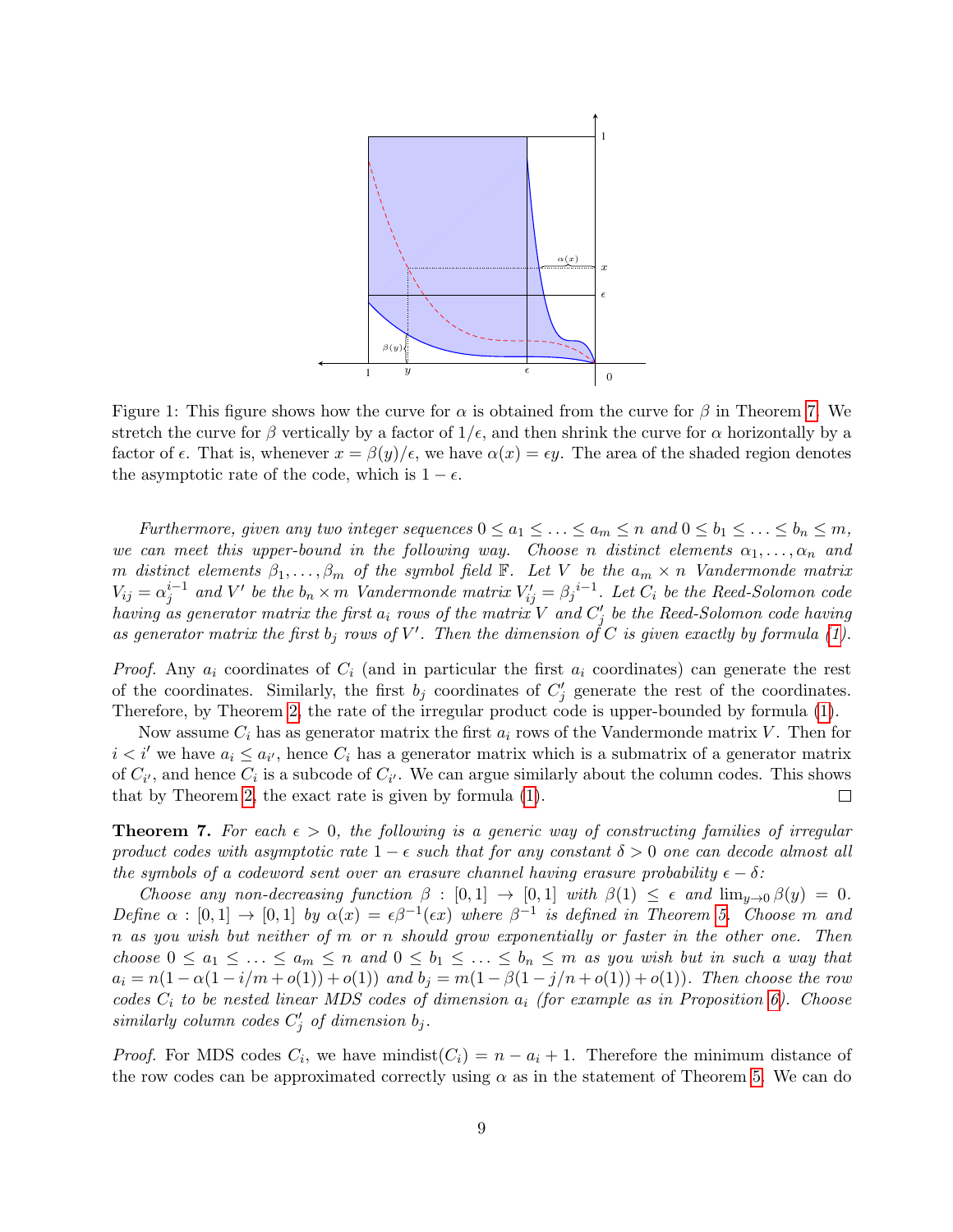

Figure 1: This figure shows how the curve for  $\alpha$  is obtained from the curve for  $\beta$  in Theorem [7.](#page-8-0) We stretch the curve for β vertically by a factor of  $1/\epsilon$ , and then shrink the curve for  $\alpha$  horizontally by a factor of  $\epsilon$ . That is, whenever  $x = \beta(y)/\epsilon$ , we have  $\alpha(x) = \epsilon y$ . The area of the shaded region denotes the asymptotic rate of the code, which is  $1 - \epsilon$ .

Furthermore, given any two integer sequences  $0 \le a_1 \le \ldots \le a_m \le n$  and  $0 \le b_1 \le \ldots \le b_n \le m$ , we can meet this upper-bound in the following way. Choose n distinct elements  $\alpha_1, \ldots, \alpha_n$  and m distinct elements  $\beta_1, \ldots, \beta_m$  of the symbol field  $\mathbb{F}$ . Let V be the  $a_m \times n$  Vandermonde matrix  $V_{ij} = \alpha_j^{i-1}$  and V' be the  $b_n \times m$  Vandermonde matrix  $V'_{ij} = \beta_j^{i-1}$ . Let  $C_i$  be the Reed-Solomon code having as generator matrix the first  $a_i$  rows of the matrix  $V$  and  $C'_j$  be the Reed-Solomon code having as generator matrix the first  $b_j$  rows of V'. Then the dimension of C is given exactly by formula [\(1\)](#page-3-1).

*Proof.* Any  $a_i$  coordinates of  $C_i$  (and in particular the first  $a_i$  coordinates) can generate the rest of the coordinates. Similarly, the first  $b_j$  coordinates of  $C'_j$  generate the rest of the coordinates. Therefore, by Theorem [2,](#page-3-2) the rate of the irregular product code is upper-bounded by formula [\(1\)](#page-3-1).

Now assume  $C_i$  has as generator matrix the first  $a_i$  rows of the Vandermonde matrix V. Then for  $i < i'$  we have  $a_i \le a_{i'}$ , hence  $C_i$  has a generator matrix which is a submatrix of a generator matrix of  $C_{i'}$ , and hence  $C_i$  is a subcode of  $C_{i'}$ . We can argue similarly about the column codes. This shows that by Theorem [2,](#page-3-2) the exact rate is given by formula [\(1\)](#page-3-1).  $\Box$ 

<span id="page-8-0"></span>**Theorem 7.** For each  $\epsilon > 0$ , the following is a generic way of constructing families of irregular product codes with asymptotic rate  $1 - \epsilon$  such that for any constant  $\delta > 0$  one can decode almost all the symbols of a codeword sent over an erasure channel having erasure probability  $\epsilon - \delta$ :

Choose any non-decreasing function  $\beta : [0,1] \rightarrow [0,1]$  with  $\beta(1) \leq \epsilon$  and  $\lim_{y\to 0} \beta(y) = 0$ . Define  $\alpha : [0,1] \to [0,1]$  by  $\alpha(x) = \epsilon \beta^{-1}(\epsilon x)$  where  $\beta^{-1}$  is defined in Theorem [5.](#page-7-2) Choose m and n as you wish but neither of m or n should grow exponentially or faster in the other one. Then choose  $0 \le a_1 \le \ldots \le a_m \le n$  and  $0 \le b_1 \le \ldots \le b_n \le m$  as you wish but in such a way that  $a_i = n(1 - \alpha(1 - i/m + o(1)) + o(1))$  and  $b_i = m(1 - \beta(1 - i/n + o(1)) + o(1))$ . Then choose the row codes  $C_i$  to be nested linear MDS codes of dimension  $a_i$  (for example as in Proposition [6\)](#page-7-3). Choose similarly column codes  $C'_j$  of dimension  $b_j$ .

*Proof.* For MDS codes  $C_i$ , we have mindist $(C_i) = n - a_i + 1$ . Therefore the minimum distance of the row codes can be approximated correctly using  $\alpha$  as in the statement of Theorem [5.](#page-7-2) We can do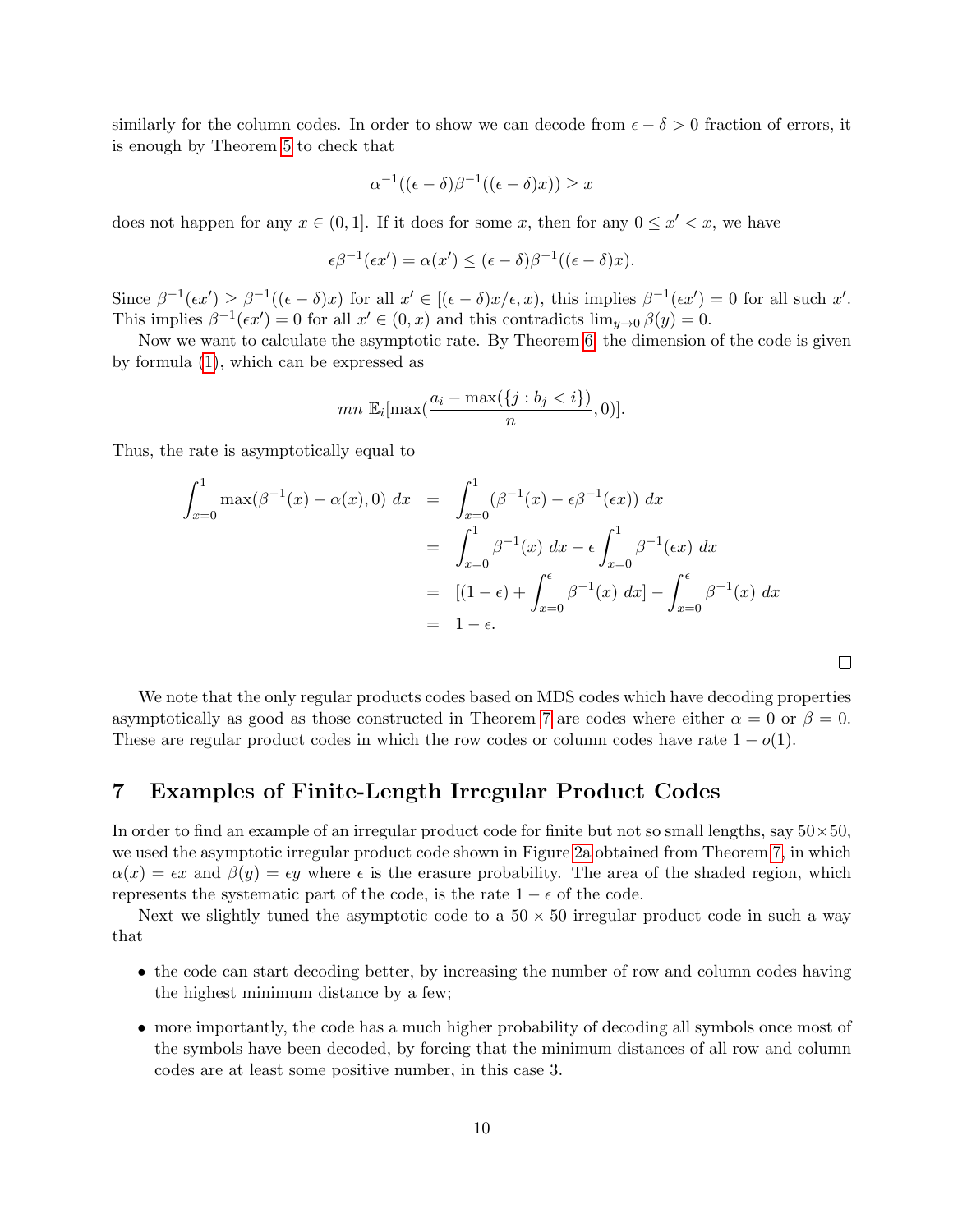similarly for the column codes. In order to show we can decode from  $\epsilon - \delta > 0$  fraction of errors, it is enough by Theorem [5](#page-7-2) to check that

$$
\alpha^{-1}((\epsilon - \delta)\beta^{-1}((\epsilon - \delta)x)) \ge x
$$

does not happen for any  $x \in (0,1]$ . If it does for some x, then for any  $0 \leq x' < x$ , we have

$$
\epsilon \beta^{-1}(\epsilon x') = \alpha(x') \le (\epsilon - \delta)\beta^{-1}((\epsilon - \delta)x).
$$

Since  $\beta^{-1}(\epsilon x') \geq \beta^{-1}((\epsilon - \delta)x)$  for all  $x' \in [(\epsilon - \delta)x/\epsilon, x)$ , this implies  $\beta^{-1}(\epsilon x') = 0$  for all such x'. This implies  $\beta^{-1}(\epsilon x') = 0$  for all  $x' \in (0, x)$  and this contradicts  $\lim_{y\to 0} \beta(y) = 0$ .

Now we want to calculate the asymptotic rate. By Theorem [6,](#page-7-3) the dimension of the code is given by formula [\(1\)](#page-3-1), which can be expressed as

$$
mn \mathbb{E}_i[\max(\frac{a_i - \max(\{j : b_j < i\})}{n}, 0)].
$$

Thus, the rate is asymptotically equal to

$$
\int_{x=0}^{1} \max(\beta^{-1}(x) - \alpha(x), 0) dx = \int_{x=0}^{1} (\beta^{-1}(x) - \epsilon \beta^{-1}(\epsilon x)) dx
$$
  
\n
$$
= \int_{x=0}^{1} \beta^{-1}(x) dx - \epsilon \int_{x=0}^{1} \beta^{-1}(\epsilon x) dx
$$
  
\n
$$
= [(1 - \epsilon) + \int_{x=0}^{\epsilon} \beta^{-1}(x) dx] - \int_{x=0}^{\epsilon} \beta^{-1}(x) dx
$$
  
\n
$$
= 1 - \epsilon.
$$

 $\Box$ 

We note that the only regular products codes based on MDS codes which have decoding properties asymptotically as good as those constructed in Theorem [7](#page-8-0) are codes where either  $\alpha = 0$  or  $\beta = 0$ . These are regular product codes in which the row codes or column codes have rate  $1 - o(1)$ .

### <span id="page-9-0"></span>7 Examples of Finite-Length Irregular Product Codes

In order to find an example of an irregular product code for finite but not so small lengths, say  $50 \times 50$ , we used the asymptotic irregular product code shown in Figure [2a](#page-10-0) obtained from Theorem [7,](#page-8-0) in which  $\alpha(x) = \epsilon x$  and  $\beta(y) = \epsilon y$  where  $\epsilon$  is the erasure probability. The area of the shaded region, which represents the systematic part of the code, is the rate  $1 - \epsilon$  of the code.

Next we slightly tuned the asymptotic code to a  $50 \times 50$  irregular product code in such a way that

- the code can start decoding better, by increasing the number of row and column codes having the highest minimum distance by a few;
- more importantly, the code has a much higher probability of decoding all symbols once most of the symbols have been decoded, by forcing that the minimum distances of all row and column codes are at least some positive number, in this case 3.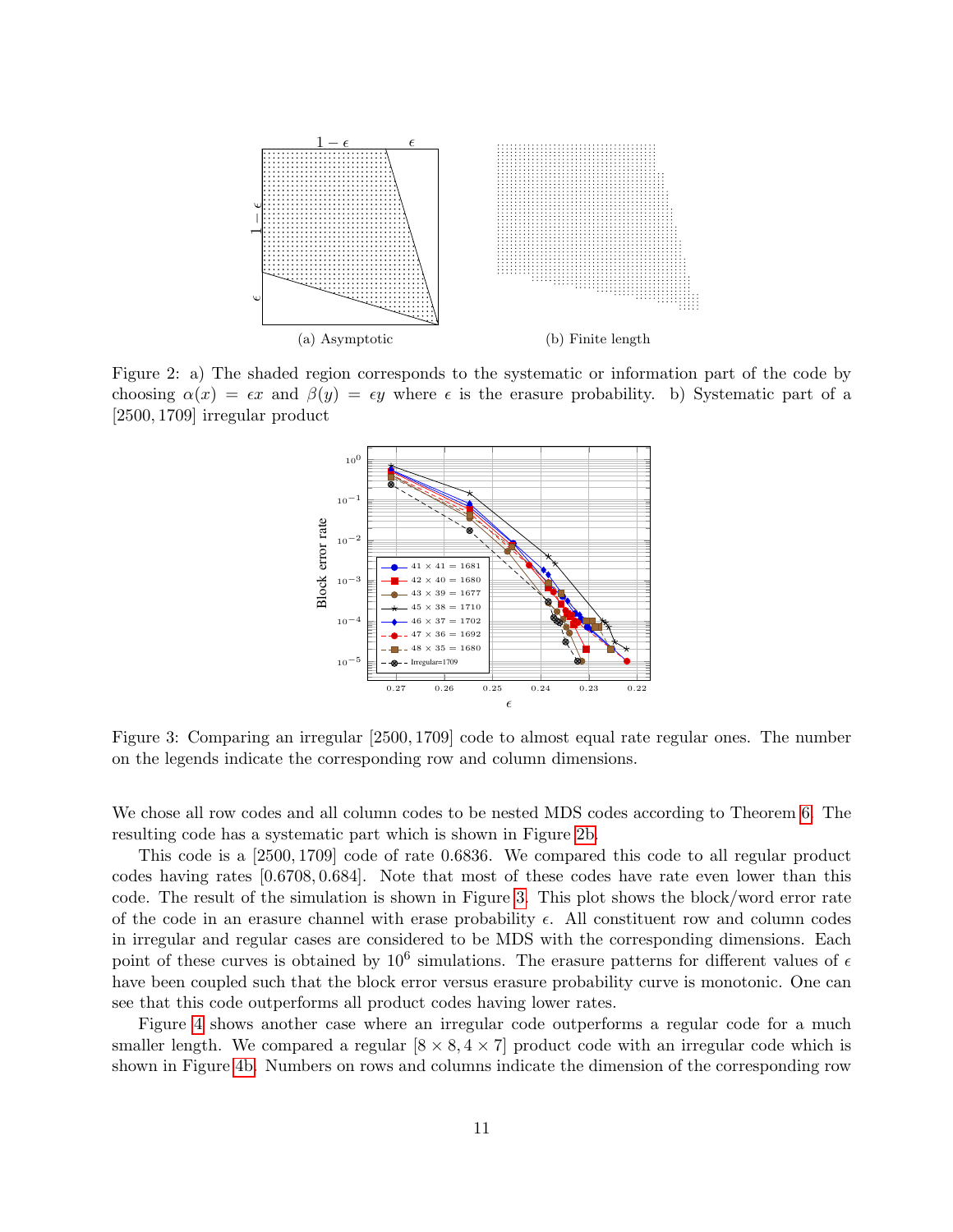<span id="page-10-0"></span>

<span id="page-10-2"></span>Figure 2: a) The shaded region corresponds to the systematic or information part of the code by choosing  $\alpha(x) = \epsilon x$  and  $\beta(y) = \epsilon y$  where  $\epsilon$  is the erasure probability. b) Systematic part of a [2500, 1709] irregular product

<span id="page-10-1"></span>

Figure 3: Comparing an irregular [2500, 1709] code to almost equal rate regular ones. The number on the legends indicate the corresponding row and column dimensions.

We chose all row codes and all column codes to be nested MDS codes according to Theorem [6.](#page-7-3) The resulting code has a systematic part which is shown in Figure [2b.](#page-10-1)

This code is a [2500, 1709] code of rate 0.6836. We compared this code to all regular product codes having rates [0.6708, 0.684]. Note that most of these codes have rate even lower than this code. The result of the simulation is shown in Figure [3.](#page-10-2) This plot shows the block/word error rate of the code in an erasure channel with erase probability  $\epsilon$ . All constituent row and column codes in irregular and regular cases are considered to be MDS with the corresponding dimensions. Each point of these curves is obtained by  $10^6$  simulations. The erasure patterns for different values of  $\epsilon$ have been coupled such that the block error versus erasure probability curve is monotonic. One can see that this code outperforms all product codes having lower rates.

Figure [4](#page-11-8) shows another case where an irregular code outperforms a regular code for a much smaller length. We compared a regular  $[8 \times 8, 4 \times 7]$  product code with an irregular code which is shown in Figure [4b.](#page-11-9) Numbers on rows and columns indicate the dimension of the corresponding row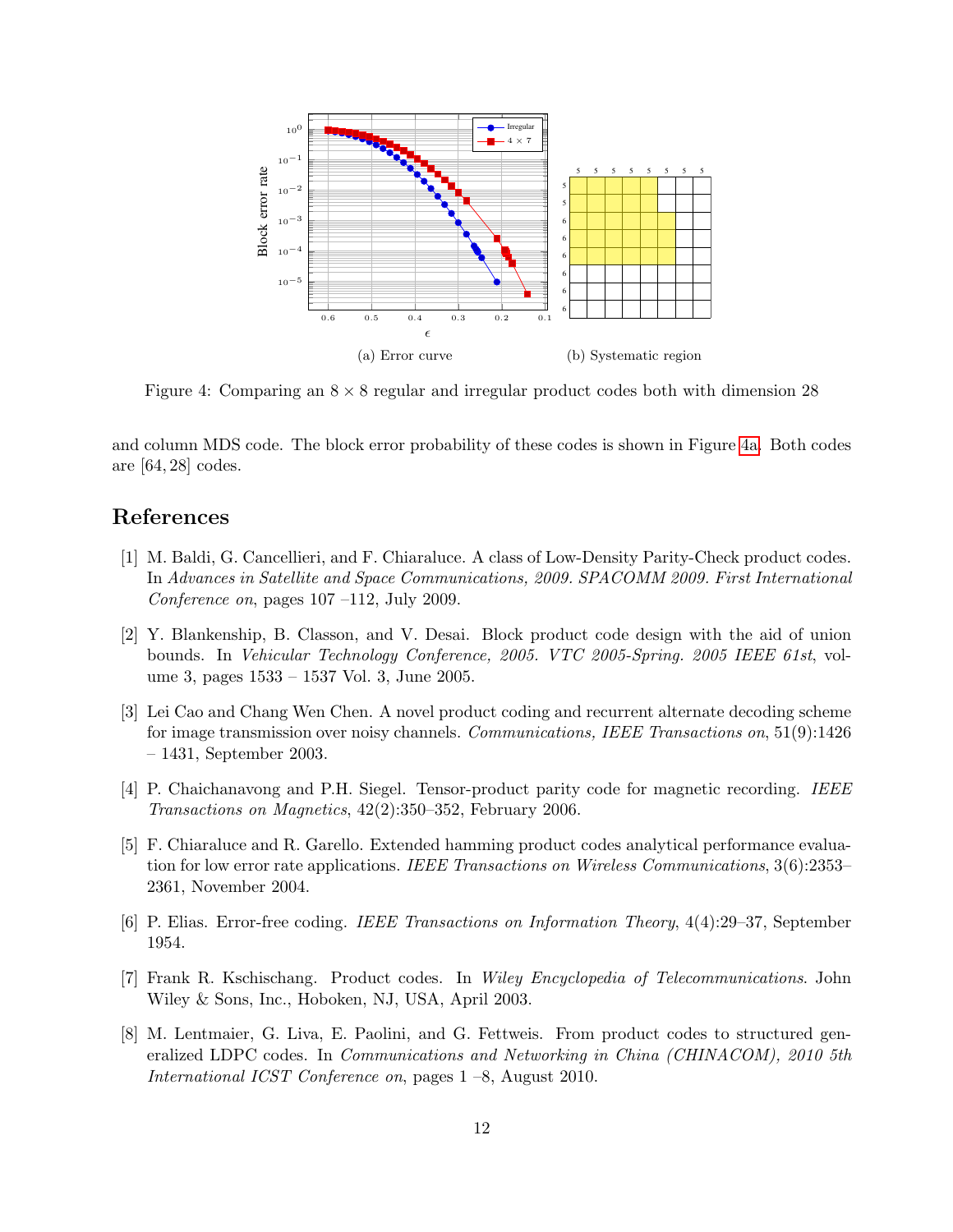<span id="page-11-10"></span><span id="page-11-9"></span><span id="page-11-8"></span>

Figure 4: Comparing an  $8 \times 8$  regular and irregular product codes both with dimension 28

and column MDS code. The block error probability of these codes is shown in Figure [4a.](#page-11-10) Both codes are [64, 28] codes.

### References

- <span id="page-11-2"></span>[1] M. Baldi, G. Cancellieri, and F. Chiaraluce. A class of Low-Density Parity-Check product codes. In Advances in Satellite and Space Communications, 2009. SPACOMM 2009. First International Conference on, pages  $107 - 112$ , July 2009.
- <span id="page-11-5"></span>[2] Y. Blankenship, B. Classon, and V. Desai. Block product code design with the aid of union bounds. In Vehicular Technology Conference, 2005. VTC 2005-Spring. 2005 IEEE 61st, volume 3, pages 1533 – 1537 Vol. 3, June 2005.
- <span id="page-11-3"></span>[3] Lei Cao and Chang Wen Chen. A novel product coding and recurrent alternate decoding scheme for image transmission over noisy channels. Communications, IEEE Transactions on, 51(9):1426 – 1431, September 2003.
- <span id="page-11-1"></span>[4] P. Chaichanavong and P.H. Siegel. Tensor-product parity code for magnetic recording. IEEE Transactions on Magnetics, 42(2):350–352, February 2006.
- <span id="page-11-4"></span>[5] F. Chiaraluce and R. Garello. Extended hamming product codes analytical performance evaluation for low error rate applications. IEEE Transactions on Wireless Communications, 3(6):2353– 2361, November 2004.
- <span id="page-11-0"></span>[6] P. Elias. Error-free coding. IEEE Transactions on Information Theory, 4(4):29–37, September 1954.
- <span id="page-11-7"></span>[7] Frank R. Kschischang. Product codes. In Wiley Encyclopedia of Telecommunications. John Wiley & Sons, Inc., Hoboken, NJ, USA, April 2003.
- <span id="page-11-6"></span>[8] M. Lentmaier, G. Liva, E. Paolini, and G. Fettweis. From product codes to structured generalized LDPC codes. In Communications and Networking in China (CHINACOM), 2010 5th International ICST Conference on, pages 1 –8, August 2010.